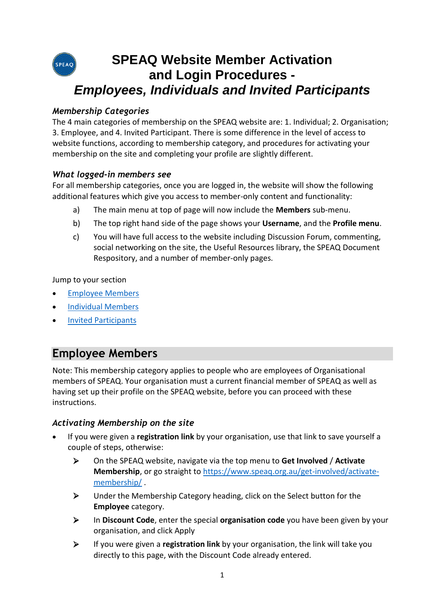## **SPEAQ Website Member Activation SPEAQ and Login Procedures -** *Employees, Individuals and Invited Participants*

### *Membership Categories*

The 4 main categories of membership on the SPEAQ website are: 1. Individual; 2. Organisation; 3. Employee, and 4. Invited Participant. There is some difference in the level of access to website functions, according to membership category, and procedures for activating your membership on the site and completing your profile are slightly different.

#### *What logged-in members see*

For all membership categories, once you are logged in, the website will show the following additional features which give you access to member-only content and functionality:

- a) The main menu at top of page will now include the **Members** sub-menu.
- b) The top right hand side of the page shows your **Username**, and the **Profile menu**.
- c) You will have full access to the website including Discussion Forum, commenting, social networking on the site, the Useful Resources library, the SPEAQ Document Respository, and a number of member-only pages.

Jump to your section

- [Employee Members](#page-0-0)
- **•** [Individual Members](#page-2-0)
- [Invited Participants](#page-3-0)

# <span id="page-0-0"></span>**Employee Members**

Note: This membership category applies to people who are employees of Organisational members of SPEAQ. Your organisation must a current financial member of SPEAQ as well as having set up their profile on the SPEAQ website, before you can proceed with these instructions.

#### *Activating Membership on the site*

- If you were given a **registration link** by your organisation, use that link to save yourself a couple of steps, otherwise:
	- On the SPEAQ website, navigate via the top menu to **Get Involved** / **Activate Membership**, or go straight to [https://www.speaq.org.au/get-involved/activate](https://www.speaq.org.au/get-involved/activate-membership/)[membership/](https://www.speaq.org.au/get-involved/activate-membership/) .
	- Under the Membership Category heading, click on the Select button for the **Employee** category.
	- In **Discount Code**, enter the special **organisation code** you have been given by your organisation, and click Apply
	- If you were given a **registration link** by your organisation, the link will take you directly to this page, with the Discount Code already entered.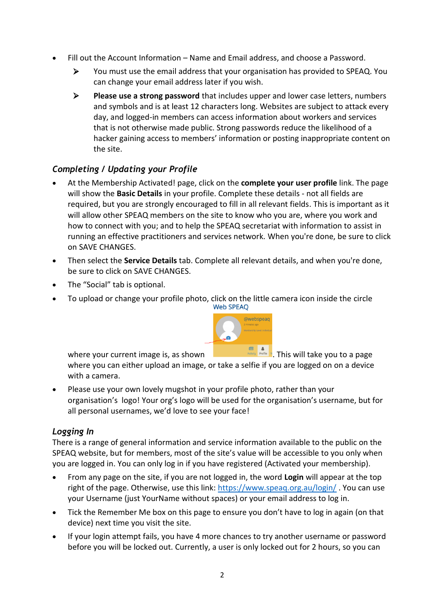- Fill out the Account Information Name and Email address, and choose a Password.
	- You must use the email address that your organisation has provided to SPEAQ. You can change your email address later if you wish.
	- **Please use a strong password** that includes upper and lower case letters, numbers and symbols and is at least 12 characters long. Websites are subject to attack every day, and logged-in members can access information about workers and services that is not otherwise made public. Strong passwords reduce the likelihood of a hacker gaining access to members' information or posting inappropriate content on the site.

## *Completing / Updating your Profile*

- At the Membership Activated! page, click on the **complete your user profile** link. The page will show the **Basic Details** in your profile. Complete these details - not all fields are required, but you are strongly encouraged to fill in all relevant fields. This is important as it will allow other SPEAQ members on the site to know who you are, where you work and how to connect with you; and to help the SPEAQ secretariat with information to assist in running an effective practitioners and services network. When you're done, be sure to click on SAVE CHANGES.
- Then select the **Service Details** tab. Complete all relevant details, and when you're done, be sure to click on SAVE CHANGES.
- The "Social" tab is optional.
- To upload or change your profile photo, click on the little camera icon inside the circle<br>Web SPEAQ



where your current image is, as shown

where you can either upload an image, or take a selfie if you are logged on on a device with a camera.

 Please use your own lovely mugshot in your profile photo, rather than your organisation's logo! Your org's logo will be used for the organisation's username, but for all personal usernames, we'd love to see your face!

#### *Logging In*

There is a range of general information and service information available to the public on the SPEAQ website, but for members, most of the site's value will be accessible to you only when you are logged in. You can only log in if you have registered (Activated your membership).

- From any page on the site, if you are not logged in, the word **Login** will appear at the top right of the page. Otherwise, use this link:<https://www.speaq.org.au/login/> . You can use your Username (just YourName without spaces) or your email address to log in.
- Tick the Remember Me box on this page to ensure you don't have to log in again (on that device) next time you visit the site.
- If your login attempt fails, you have 4 more chances to try another username or password before you will be locked out. Currently, a user is only locked out for 2 hours, so you can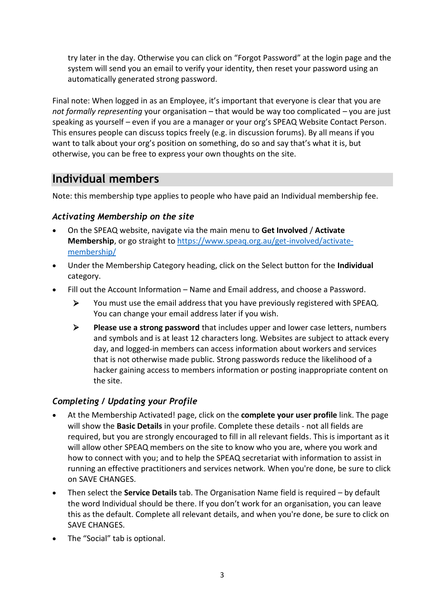try later in the day. Otherwise you can click on "Forgot Password" at the login page and the system will send you an email to verify your identity, then reset your password using an automatically generated strong password.

Final note: When logged in as an Employee, it's important that everyone is clear that you are *not formally representing* your organisation – that would be way too complicated – you are just speaking as yourself – even if you are a manager or your org's SPEAQ Website Contact Person. This ensures people can discuss topics freely (e.g. in discussion forums). By all means if you want to talk about your org's position on something, do so and say that's what it is, but otherwise, you can be free to express your own thoughts on the site.

# <span id="page-2-0"></span>**Individual members**

Note: this membership type applies to people who have paid an Individual membership fee.

### *Activating Membership on the site*

- On the SPEAQ website, navigate via the main menu to **Get Involved** / **Activate Membership**, or go straight t[o https://www.speaq.org.au/get-involved/activate](https://www.speaq.org.au/get-involved/activate-membership/)[membership/](https://www.speaq.org.au/get-involved/activate-membership/)
- Under the Membership Category heading, click on the Select button for the **Individual** category.
- Fill out the Account Information Name and Email address, and choose a Password.
	- You must use the email address that you have previously registered with SPEAQ. You can change your email address later if you wish.
	- **Please use a strong password** that includes upper and lower case letters, numbers and symbols and is at least 12 characters long. Websites are subject to attack every day, and logged-in members can access information about workers and services that is not otherwise made public. Strong passwords reduce the likelihood of a hacker gaining access to members information or posting inappropriate content on the site.

## *Completing / Updating your Profile*

- At the Membership Activated! page, click on the **complete your user profile** link. The page will show the **Basic Details** in your profile. Complete these details - not all fields are required, but you are strongly encouraged to fill in all relevant fields. This is important as it will allow other SPEAQ members on the site to know who you are, where you work and how to connect with you; and to help the SPEAQ secretariat with information to assist in running an effective practitioners and services network. When you're done, be sure to click on SAVE CHANGES.
- Then select the **Service Details** tab. The Organisation Name field is required by default the word Individual should be there. If you don't work for an organisation, you can leave this as the default. Complete all relevant details, and when you're done, be sure to click on SAVE CHANGES.
- The "Social" tab is optional.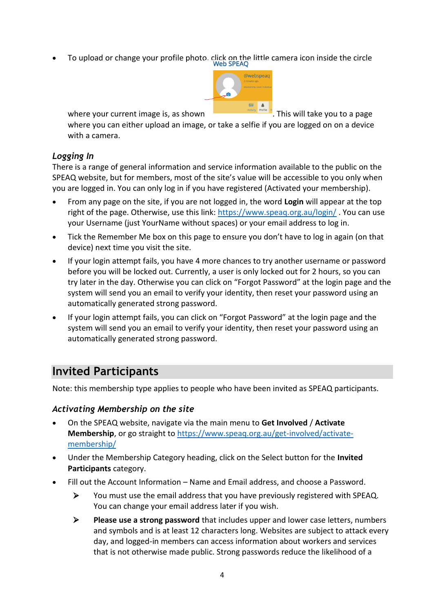To upload or change your profile photo, click on the little camera icon inside the circle<br>Web SPEAO



where your current image is, as shown . This will take you to a page

where you can either upload an image, or take a selfie if you are logged on on a device with a camera.

#### *Logging In*

There is a range of general information and service information available to the public on the SPEAQ website, but for members, most of the site's value will be accessible to you only when you are logged in. You can only log in if you have registered (Activated your membership).

- From any page on the site, if you are not logged in, the word **Login** will appear at the top right of the page. Otherwise, use this link:<https://www.speaq.org.au/login/> . You can use your Username (just YourName without spaces) or your email address to log in.
- Tick the Remember Me box on this page to ensure you don't have to log in again (on that device) next time you visit the site.
- If your login attempt fails, you have 4 more chances to try another username or password before you will be locked out. Currently, a user is only locked out for 2 hours, so you can try later in the day. Otherwise you can click on "Forgot Password" at the login page and the system will send you an email to verify your identity, then reset your password using an automatically generated strong password.
- If your login attempt fails, you can click on "Forgot Password" at the login page and the system will send you an email to verify your identity, then reset your password using an automatically generated strong password.

# <span id="page-3-0"></span>**Invited Participants**

Note: this membership type applies to people who have been invited as SPEAQ participants.

### *Activating Membership on the site*

- On the SPEAQ website, navigate via the main menu to **Get Involved** / **Activate**  Membership, or go straight to [https://www.speaq.org.au/get-involved/activate](https://www.speaq.org.au/get-involved/activate-membership/)[membership/](https://www.speaq.org.au/get-involved/activate-membership/)
- Under the Membership Category heading, click on the Select button for the **Invited Participants** category.
- Fill out the Account Information Name and Email address, and choose a Password.
	- You must use the email address that you have previously registered with SPEAQ. You can change your email address later if you wish.
	- **Please use a strong password** that includes upper and lower case letters, numbers and symbols and is at least 12 characters long. Websites are subject to attack every day, and logged-in members can access information about workers and services that is not otherwise made public. Strong passwords reduce the likelihood of a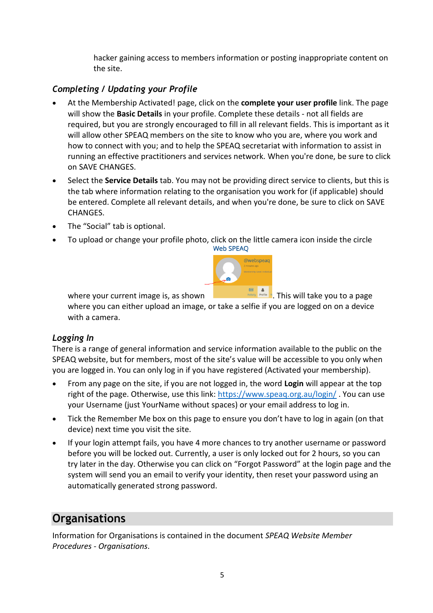hacker gaining access to members information or posting inappropriate content on the site.

## *Completing / Updating your Profile*

- At the Membership Activated! page, click on the **complete your user profile** link. The page will show the **Basic Details** in your profile. Complete these details - not all fields are required, but you are strongly encouraged to fill in all relevant fields. This is important as it will allow other SPEAQ members on the site to know who you are, where you work and how to connect with you; and to help the SPEAQ secretariat with information to assist in running an effective practitioners and services network. When you're done, be sure to click on SAVE CHANGES.
- Select the **Service Details** tab. You may not be providing direct service to clients, but this is the tab where information relating to the organisation you work for (if applicable) should be entered. Complete all relevant details, and when you're done, be sure to click on SAVE CHANGES.
- The "Social" tab is optional.
- To upload or change your profile photo, click on the little camera icon inside the circle<br>Web SPEAO



where your current image is, as shown where you can either upload an image, or take a selfie if you are logged on on a device with a camera.

### *Logging In*

There is a range of general information and service information available to the public on the SPEAQ website, but for members, most of the site's value will be accessible to you only when you are logged in. You can only log in if you have registered (Activated your membership).

- From any page on the site, if you are not logged in, the word **Login** will appear at the top right of the page. Otherwise, use this link:<https://www.speaq.org.au/login/>. You can use your Username (just YourName without spaces) or your email address to log in.
- Tick the Remember Me box on this page to ensure you don't have to log in again (on that device) next time you visit the site.
- If your login attempt fails, you have 4 more chances to try another username or password before you will be locked out. Currently, a user is only locked out for 2 hours, so you can try later in the day. Otherwise you can click on "Forgot Password" at the login page and the system will send you an email to verify your identity, then reset your password using an automatically generated strong password.

# **Organisations**

Information for Organisations is contained in the document *SPEAQ Website Member Procedures - Organisations*.